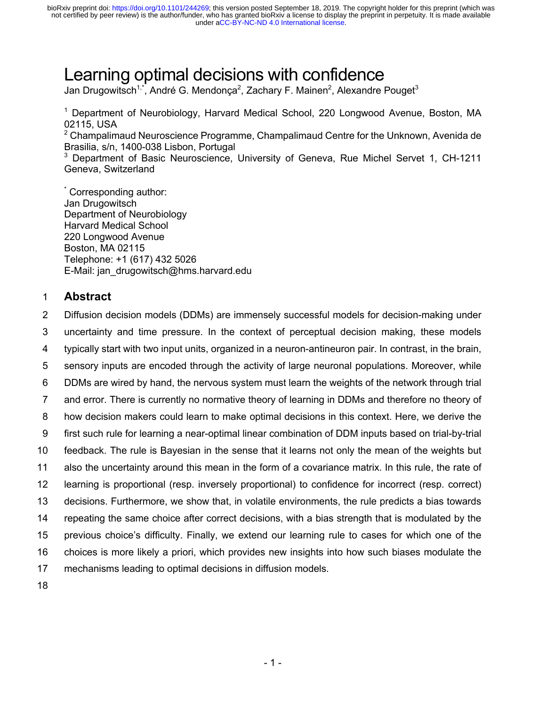# Learning optimal decisions with confidence

Jan Drugowitsch<sup>1,\*</sup>, André G. Mendonça<sup>2</sup>, Zachary F. Mainen<sup>2</sup>, Alexandre Pouget<sup>3</sup>

<sup>1</sup> Department of Neurobiology, Harvard Medical School, 220 Longwood Avenue, Boston, MA 02115, USA

<sup>2</sup> Champalimaud Neuroscience Programme, Champalimaud Centre for the Unknown, Avenida de Brasilia, s/n, 1400-038 Lisbon, Portugal

<sup>3</sup> Department of Basic Neuroscience, University of Geneva, Rue Michel Servet 1, CH-1211 Geneva, Switzerland

\* Corresponding author: Jan Drugowitsch Department of Neurobiology Harvard Medical School 220 Longwood Avenue Boston, MA 02115 Telephone: +1 (617) 432 5026 E-Mail: jan\_drugowitsch@hms.harvard.edu

# 1 **Abstract**

 Diffusion decision models (DDMs) are immensely successful models for decision-making under uncertainty and time pressure. In the context of perceptual decision making, these models typically start with two input units, organized in a neuron-antineuron pair. In contrast, in the brain, sensory inputs are encoded through the activity of large neuronal populations. Moreover, while DDMs are wired by hand, the nervous system must learn the weights of the network through trial and error. There is currently no normative theory of learning in DDMs and therefore no theory of how decision makers could learn to make optimal decisions in this context. Here, we derive the first such rule for learning a near-optimal linear combination of DDM inputs based on trial-by-trial feedback. The rule is Bayesian in the sense that it learns not only the mean of the weights but also the uncertainty around this mean in the form of a covariance matrix. In this rule, the rate of learning is proportional (resp. inversely proportional) to confidence for incorrect (resp. correct) decisions. Furthermore, we show that, in volatile environments, the rule predicts a bias towards repeating the same choice after correct decisions, with a bias strength that is modulated by the previous choice's difficulty. Finally, we extend our learning rule to cases for which one of the choices is more likely a priori, which provides new insights into how such biases modulate the mechanisms leading to optimal decisions in diffusion models.

18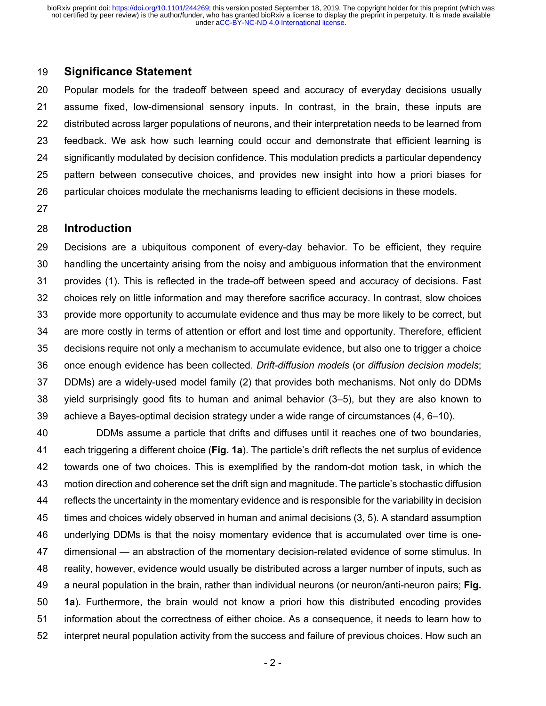#### **Significance Statement**

 Popular models for the tradeoff between speed and accuracy of everyday decisions usually assume fixed, low-dimensional sensory inputs. In contrast, in the brain, these inputs are distributed across larger populations of neurons, and their interpretation needs to be learned from feedback. We ask how such learning could occur and demonstrate that efficient learning is significantly modulated by decision confidence. This modulation predicts a particular dependency pattern between consecutive choices, and provides new insight into how a priori biases for particular choices modulate the mechanisms leading to efficient decisions in these models.

# **Introduction**

 Decisions are a ubiquitous component of every-day behavior. To be efficient, they require handling the uncertainty arising from the noisy and ambiguous information that the environment provides (1). This is reflected in the trade-off between speed and accuracy of decisions. Fast choices rely on little information and may therefore sacrifice accuracy. In contrast, slow choices provide more opportunity to accumulate evidence and thus may be more likely to be correct, but are more costly in terms of attention or effort and lost time and opportunity. Therefore, efficient decisions require not only a mechanism to accumulate evidence, but also one to trigger a choice once enough evidence has been collected. *Drift-diffusion models* (or *diffusion decision models*; DDMs) are a widely-used model family (2) that provides both mechanisms. Not only do DDMs yield surprisingly good fits to human and animal behavior (3–5), but they are also known to achieve a Bayes-optimal decision strategy under a wide range of circumstances (4, 6–10).

 DDMs assume a particle that drifts and diffuses until it reaches one of two boundaries, each triggering a different choice (**Fig. 1a**). The particle's drift reflects the net surplus of evidence towards one of two choices. This is exemplified by the random-dot motion task, in which the motion direction and coherence set the drift sign and magnitude. The particle's stochastic diffusion reflects the uncertainty in the momentary evidence and is responsible for the variability in decision times and choices widely observed in human and animal decisions (3, 5). A standard assumption underlying DDMs is that the noisy momentary evidence that is accumulated over time is one- dimensional — an abstraction of the momentary decision-related evidence of some stimulus. In reality, however, evidence would usually be distributed across a larger number of inputs, such as a neural population in the brain, rather than individual neurons (or neuron/anti-neuron pairs; **Fig. 1a**). Furthermore, the brain would not know a priori how this distributed encoding provides information about the correctness of either choice. As a consequence, it needs to learn how to interpret neural population activity from the success and failure of previous choices. How such an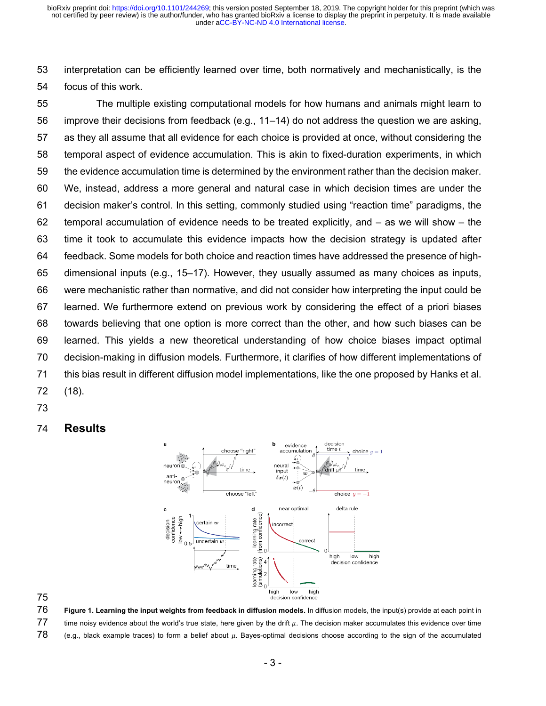interpretation can be efficiently learned over time, both normatively and mechanistically, is the focus of this work.

 The multiple existing computational models for how humans and animals might learn to improve their decisions from feedback (e.g., 11–14) do not address the question we are asking, as they all assume that all evidence for each choice is provided at once, without considering the temporal aspect of evidence accumulation. This is akin to fixed-duration experiments, in which the evidence accumulation time is determined by the environment rather than the decision maker. We, instead, address a more general and natural case in which decision times are under the decision maker's control. In this setting, commonly studied using "reaction time" paradigms, the 62 temporal accumulation of evidence needs to be treated explicitly, and  $-$  as we will show  $-$  the time it took to accumulate this evidence impacts how the decision strategy is updated after feedback. Some models for both choice and reaction times have addressed the presence of high- dimensional inputs (e.g., 15–17). However, they usually assumed as many choices as inputs, were mechanistic rather than normative, and did not consider how interpreting the input could be learned. We furthermore extend on previous work by considering the effect of a priori biases towards believing that one option is more correct than the other, and how such biases can be learned. This yields a new theoretical understanding of how choice biases impact optimal decision-making in diffusion models. Furthermore, it clarifies of how different implementations of this bias result in different diffusion model implementations, like the one proposed by Hanks et al. (18).

# **Results**



 **Figure 1. Learning the input weights from feedback in diffusion models.** In diffusion models, the input(s) provide at each point in time noisy evidence about the world's true state, here given by the drift  $\mu$ . The decision maker accumulates this evidence over time 78 (e.g., black example traces) to form a belief about  $\mu$ . Bayes-optimal decisions choose according to the sign of the accumulated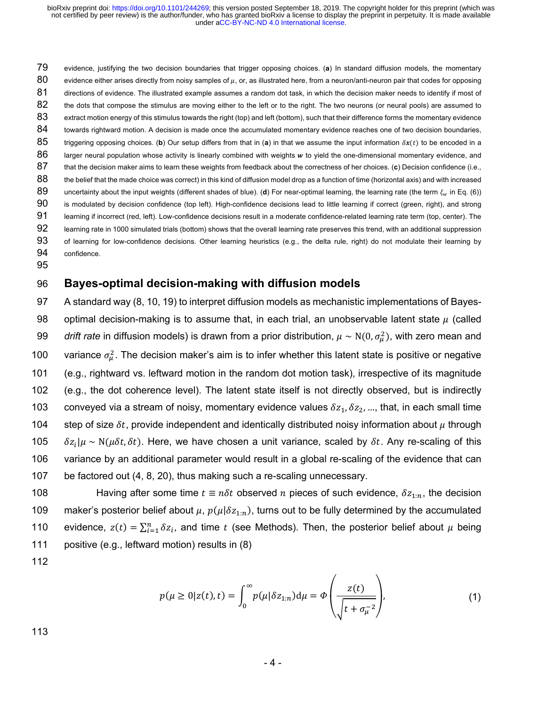79 evidence, justifying the two decision boundaries that trigger opposing choices. (**a**) In standard diffusion models, the momentary 80 evidence either arises directly from noisy samples of  $\mu$ , or, as illustrated here, from a neuron/anti-neuron pair that codes for opposing 81 directions of evidence. The illustrated example assumes a random dot task, in which the decision maker needs to identify if most of 82 the dots that compose the stimulus are moving either to the left or to the right. The two neurons (or neural pools) are assumed to 83 extract motion energy of this stimulus towards the right (top) and left (bottom), such that their difference forms the momentary evidence 84 towards rightward motion. A decision is made once the accumulated momentary evidence reaches one of two decision boundaries, 85 triggering opposing choices. (b) Our setup differs from that in (a) in that we assume the input information  $\delta x(t)$  to be encoded in a 86 larger neural population whose activity is linearly combined with weights  $w$  to yield the one-dimensional momentary evidence, and 87 that the decision maker aims to learn these weights from feedback about the correctness of her choices. (**c**) Decision confidence (i.e., 88 the belief that the made choice was correct) in this kind of diffusion model drop as a function of time (horizontal axis) and with increased 89 uncertainty about the input weights (different shades of blue). (d) For near-optimal learning, the learning rate (the term  $\xi_w$  in Eq. (6)) 90 is modulated by decision confidence (top left). High-confidence decisions lead to little learning if correct (green, right), and strong 91 learning if incorrect (red, left). Low-confidence decisions result in a moderate confidence-related learning rate term (top, center). The 92 learning rate in 1000 simulated trials (bottom) shows that the overall learning rate preserves this trend, with an additional suppression 93 of learning for low-confidence decisions. Other learning heuristics (e.g., the delta rule, right) do not modulate their learning by 94 confidence. 95

# 96 **Bayes-optimal decision-making with diffusion models**

97 A standard way (8, 10, 19) to interpret diffusion models as mechanistic implementations of Bayes-98 optimal decision-making is to assume that, in each trial, an unobservable latent state  $\mu$  (called 99 *drift rate* in diffusion models) is drawn from a prior distribution,  $\mu \sim N(0, \sigma_\mu^2)$ , with zero mean and 100 variance  $\sigma_{\mu}^2$ . The decision maker's aim is to infer whether this latent state is positive or negative 101 (e.g., rightward vs. leftward motion in the random dot motion task), irrespective of its magnitude 102 (e.g., the dot coherence level). The latent state itself is not directly observed, but is indirectly 103 conveyed via a stream of noisy, momentary evidence values  $\delta z_1, \delta z_2, ...$ , that, in each small time 104 step of size  $\delta t$ , provide independent and identically distributed noisy information about  $\mu$  through  $\delta z_i | \mu \sim N(\mu \delta t, \delta t)$ . Here, we have chosen a unit variance, scaled by  $\delta t$ . Any re-scaling of this 106 variance by an additional parameter would result in a global re-scaling of the evidence that can 107 be factored out (4, 8, 20), thus making such a re-scaling unnecessary.

108 Having after some time  $t \equiv n\delta t$  observed *n* pieces of such evidence,  $\delta z_{1:n}$ , the decision 109 maker's posterior belief about  $\mu$ ,  $p(\mu|\delta z_{1:n})$ , turns out to be fully determined by the accumulated 110 evidence,  $z(t) = \sum_{i=1}^{n} \delta z_i$ , and time t (see Methods). Then, the posterior belief about  $\mu$  being 111 positive (e.g., leftward motion) results in (8)

112

$$
p(\mu \ge 0 | z(t), t) = \int_0^\infty p(\mu | \delta z_{1:n}) d\mu = \Phi\left(\frac{z(t)}{\sqrt{t + \sigma_\mu^{-2}}}\right),\tag{1}
$$

113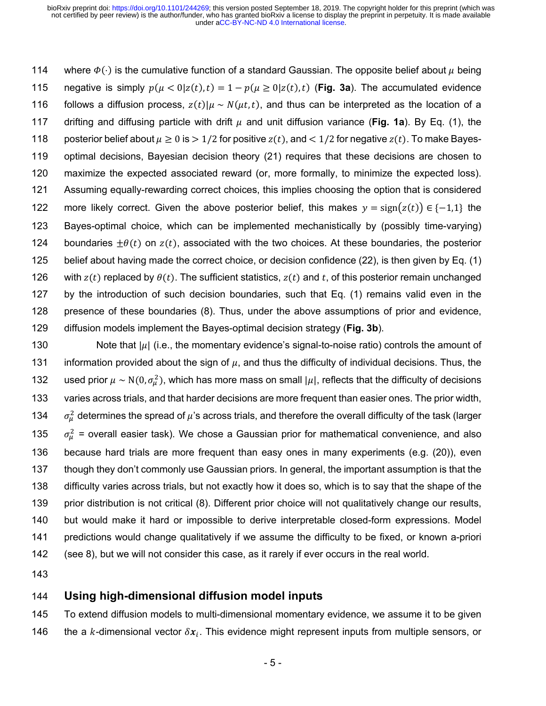114 where  $\varPhi(\cdot)$  is the cumulative function of a standard Gaussian. The opposite belief about  $\mu$  being 115 negative is simply  $p(\mu < 0|z(t),t) = 1 - p(\mu \ge 0|z(t),t)$  (Fig. 3a). The accumulated evidence 116 follows a diffusion process,  $z(t)| \mu \sim N(\mu t, t)$ , and thus can be interpreted as the location of a 117 drifting and diffusing particle with drift  $\mu$  and unit diffusion variance (**Fig. 1a**). By Eq. (1), the 118 posterior belief about  $\mu \geq 0$  is  $> 1/2$  for positive  $z(t)$ , and  $< 1/2$  for negative  $z(t)$ . To make Bayes-119 optimal decisions, Bayesian decision theory (21) requires that these decisions are chosen to 120 maximize the expected associated reward (or, more formally, to minimize the expected loss). 121 Assuming equally-rewarding correct choices, this implies choosing the option that is considered 122 more likely correct. Given the above posterior belief, this makes  $y = sign(z(t)) \in \{-1,1\}$  the 123 Bayes-optimal choice, which can be implemented mechanistically by (possibly time-varying) 124 boundaries  $\pm \theta(t)$  on  $z(t)$ , associated with the two choices. At these boundaries, the posterior 125 belief about having made the correct choice, or decision confidence (22), is then given by Eq. (1) 126 with  $z(t)$  replaced by  $\theta(t)$ . The sufficient statistics,  $z(t)$  and t, of this posterior remain unchanged 127 by the introduction of such decision boundaries, such that Eq. (1) remains valid even in the 128 presence of these boundaries (8). Thus, under the above assumptions of prior and evidence, 129 diffusion models implement the Bayes-optimal decision strategy (**Fig. 3b**).

130 Note that  $|\mu|$  (i.e., the momentary evidence's signal-to-noise ratio) controls the amount of 131 information provided about the sign of  $\mu$ , and thus the difficulty of individual decisions. Thus, the 132 used prior  $\mu \sim N(0, \sigma_{\mu}^2)$ , which has more mass on small | $\mu$ |, reflects that the difficulty of decisions varies across trials, and that harder decisions are more frequent than easier ones. The prior width,  $\sigma_\mu^2$  determines the spread of  $\mu$ 's across trials, and therefore the overall difficulty of the task (larger  $\sigma_{\mu}^2$  = overall easier task). We chose a Gaussian prior for mathematical convenience, and also because hard trials are more frequent than easy ones in many experiments (e.g. (20)), even though they don't commonly use Gaussian priors. In general, the important assumption is that the difficulty varies across trials, but not exactly how it does so, which is to say that the shape of the prior distribution is not critical (8). Different prior choice will not qualitatively change our results, but would make it hard or impossible to derive interpretable closed-form expressions. Model predictions would change qualitatively if we assume the difficulty to be fixed, or known a-priori (see 8), but we will not consider this case, as it rarely if ever occurs in the real world.

143

# 144 **Using high-dimensional diffusion model inputs**

145 To extend diffusion models to multi-dimensional momentary evidence, we assume it to be given 146 the a k-dimensional vector  $\delta x_i$ . This evidence might represent inputs from multiple sensors, or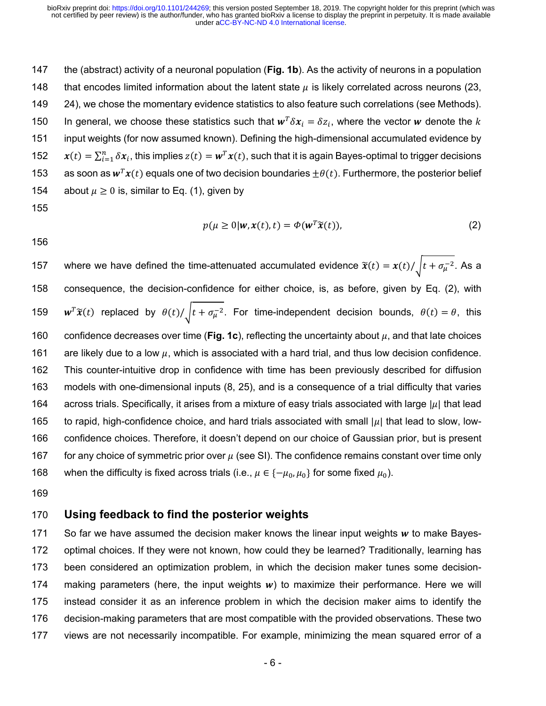147 the (abstract) activity of a neuronal population (**Fig. 1b**). As the activity of neurons in a population 148 that encodes limited information about the latent state  $\mu$  is likely correlated across neurons (23, 149 24), we chose the momentary evidence statistics to also feature such correlations (see Methods). 150 In general, we choose these statistics such that  $w^T \delta x_i = \delta z_i$ , where the vector w denote the k 151 input weights (for now assumed known). Defining the high-dimensional accumulated evidence by 152  $x(t) = \sum_{i=1}^{n} \delta x_i$ , this implies  $z(t) = w^T x(t)$ , such that it is again Bayes-optimal to trigger decisions 153 as soon as  $w^T x(t)$  equals one of two decision boundaries  $\pm \theta(t)$ . Furthermore, the posterior belief 154 about  $\mu \geq 0$  is, similar to Eq. (1), given by

155

$$
p(\mu \ge 0 | \mathbf{w}, \mathbf{x}(t), t) = \Phi(\mathbf{w}^T \widetilde{\mathbf{x}}(t)),
$$
\n(2)

156

157 where we have defined the time-attenuated accumulated evidence  $\tilde{\mathbf{x}}(t) = \mathbf{x}(t)/\int |t + \sigma_{\mu}^{-2}$ . As a 158 consequence, the decision-confidence for either choice, is, as before, given by Eq. (2), with 159  $w^T \tilde{x}(t)$  replaced by  $\theta(t)/\sqrt{t + \sigma_{\mu}^{-2}}$ . For time-independent decision bounds,  $\theta(t) = \theta$ , this 160 confidence decreases over time (**Fig. 1c**), reflecting the uncertainty about  $\mu$ , and that late choices 161 are likely due to a low  $\mu$ , which is associated with a hard trial, and thus low decision confidence. 162 This counter-intuitive drop in confidence with time has been previously described for diffusion 163 models with one-dimensional inputs (8, 25), and is a consequence of a trial difficulty that varies 164 across trials. Specifically, it arises from a mixture of easy trials associated with large  $|\mu|$  that lead 165 to rapid, high-confidence choice, and hard trials associated with small  $|\mu|$  that lead to slow, low-166 confidence choices. Therefore, it doesn't depend on our choice of Gaussian prior, but is present 167 for any choice of symmetric prior over  $\mu$  (see SI). The confidence remains constant over time only 168 when the difficulty is fixed across trials (i.e.,  $\mu \in \{-\mu_0, \mu_0\}$  for some fixed  $\mu_0$ ).

169

# 170 **Using feedback to find the posterior weights**

171 So far we have assumed the decision maker knows the linear input weights  $w$  to make Bayes- optimal choices. If they were not known, how could they be learned? Traditionally, learning has been considered an optimization problem, in which the decision maker tunes some decision-174 making parameters (here, the input weights  $w$ ) to maximize their performance. Here we will instead consider it as an inference problem in which the decision maker aims to identify the decision-making parameters that are most compatible with the provided observations. These two views are not necessarily incompatible. For example, minimizing the mean squared error of a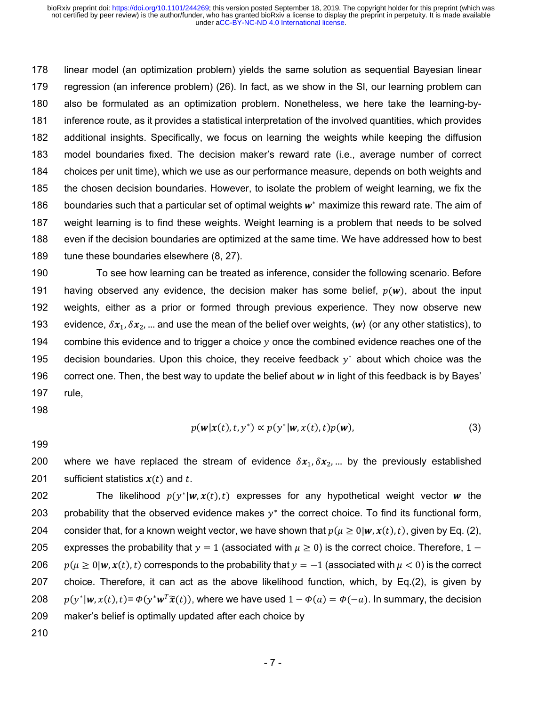linear model (an optimization problem) yields the same solution as sequential Bayesian linear regression (an inference problem) (26). In fact, as we show in the SI, our learning problem can also be formulated as an optimization problem. Nonetheless, we here take the learning-by- inference route, as it provides a statistical interpretation of the involved quantities, which provides additional insights. Specifically, we focus on learning the weights while keeping the diffusion model boundaries fixed. The decision maker's reward rate (i.e., average number of correct choices per unit time), which we use as our performance measure, depends on both weights and the chosen decision boundaries. However, to isolate the problem of weight learning, we fix the 186 boundaries such that a particular set of optimal weights  $w^*$  maximize this reward rate. The aim of weight learning is to find these weights. Weight learning is a problem that needs to be solved even if the decision boundaries are optimized at the same time. We have addressed how to best tune these boundaries elsewhere (8, 27).

190 To see how learning can be treated as inference, consider the following scenario. Before 191 having observed any evidence, the decision maker has some belief,  $p(w)$ , about the input 192 weights, either as a prior or formed through previous experience. They now observe new 193 evidence,  $\delta x_1, \delta x_2, ...$  and use the mean of the belief over weights,  $\langle w \rangle$  (or any other statistics), to 194 combine this evidence and to trigger a choice  $y$  once the combined evidence reaches one of the 195 decision boundaries. Upon this choice, they receive feedback  $y^*$  about which choice was the 196 correct one. Then, the best way to update the belief about  $w$  in light of this feedback is by Bayes' 197 rule,

198

$$
p(\mathbf{w}|\mathbf{x}(t), t, \mathbf{y}^*) \propto p(\mathbf{y}^*|\mathbf{w}, \mathbf{x}(t), t)p(\mathbf{w}),
$$
\n(3)

199

200 where we have replaced the stream of evidence  $\delta x_1, \delta x_2, ...$  by the previously established 201 sufficient statistics  $x(t)$  and t.

202 The likelihood  $p(y^* | w, x(t), t)$  expresses for any hypothetical weight vector w the 203 probability that the observed evidence makes  $y^*$  the correct choice. To find its functional form, 204 consider that, for a known weight vector, we have shown that  $p(\mu \geq 0 | \mathbf{w}, x(t), t)$ , given by Eq. (2), 205 expresses the probability that  $y = 1$  (associated with  $\mu \ge 0$ ) is the correct choice. Therefore, 1 – 206  $p(\mu \ge 0 | w, x(t), t)$  corresponds to the probability that  $y = -1$  (associated with  $\mu < 0$ ) is the correct 207 choice. Therefore, it can act as the above likelihood function, which, by Eq.(2), is given by 208  $p(y^*|w, x(t), t) = \Phi(y^*w^T \tilde{x}(t))$ , where we have used  $1 - \Phi(a) = \Phi(-a)$ . In summary, the decision 209 maker's belief is optimally updated after each choice by 210

- 7 -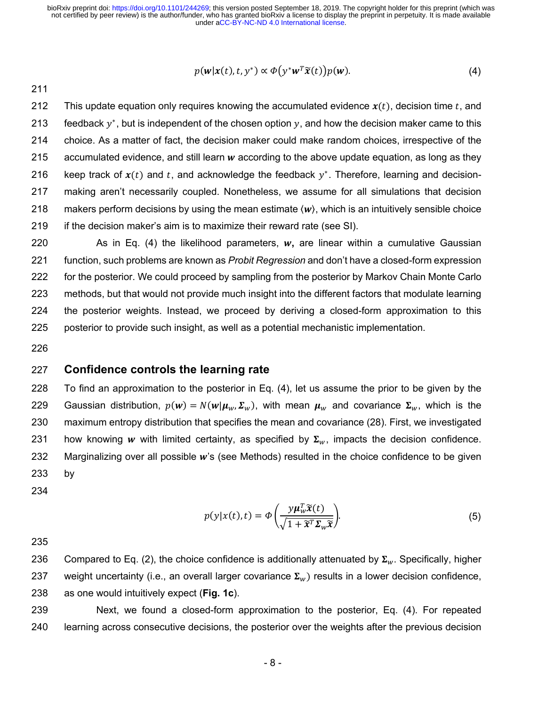$$
p(\mathbf{w}|\mathbf{x}(t),t,\mathbf{y}^*) \propto \Phi(\mathbf{y}^*\mathbf{w}^T\widetilde{\mathbf{x}}(t))p(\mathbf{w}).
$$
\n(4)

211

212 This update equation only requires knowing the accumulated evidence  $x(t)$ , decision time t, and 213 feedback  $y^*$ , but is independent of the chosen option y, and how the decision maker came to this 214 choice. As a matter of fact, the decision maker could make random choices, irrespective of the 215 accumulated evidence, and still learn  $w$  according to the above update equation, as long as they 216 keep track of  $x(t)$  and t, and acknowledge the feedback  $y^*$ . Therefore, learning and decision-217 making aren't necessarily coupled. Nonetheless, we assume for all simulations that decision 218 makers perform decisions by using the mean estimate  $\langle w \rangle$ , which is an intuitively sensible choice 219 if the decision maker's aim is to maximize their reward rate (see SI).

220 As in Eq. (4) the likelihood parameters, w, are linear within a cumulative Gaussian function, such problems are known as *Probit Regression* and don't have a closed-form expression for the posterior. We could proceed by sampling from the posterior by Markov Chain Monte Carlo methods, but that would not provide much insight into the different factors that modulate learning the posterior weights. Instead, we proceed by deriving a closed-form approximation to this posterior to provide such insight, as well as a potential mechanistic implementation.

226

### 227 **Confidence controls the learning rate**

228 To find an approximation to the posterior in Eq. (4), let us assume the prior to be given by the 229 Gaussian distribution,  $p(w) = N(w|\mu_w, \Sigma_w)$ , with mean  $\mu_w$  and covariance  $\Sigma_w$ , which is the 230 maximum entropy distribution that specifies the mean and covariance (28). First, we investigated 231 how knowing w with limited certainty, as specified by  $\Sigma_{w}$ , impacts the decision confidence. 232 Marginalizing over all possible  $w$ 's (see Methods) resulted in the choice confidence to be given 233 by

234

$$
p(y|x(t),t) = \Phi\left(\frac{y\mu_w^T \widetilde{x}(t)}{\sqrt{1 + \widetilde{x}^T \Sigma_w \widetilde{x}}}\right).
$$
\n(5)

235

236 Compared to Eq. (2), the choice confidence is additionally attenuated by  $\Sigma_w$ . Specifically, higher 237 weight uncertainty (i.e., an overall larger covariance  $\Sigma_w$ ) results in a lower decision confidence, 238 as one would intuitively expect (**Fig. 1c**).

239 Next, we found a closed-form approximation to the posterior, Eq. (4). For repeated 240 learning across consecutive decisions, the posterior over the weights after the previous decision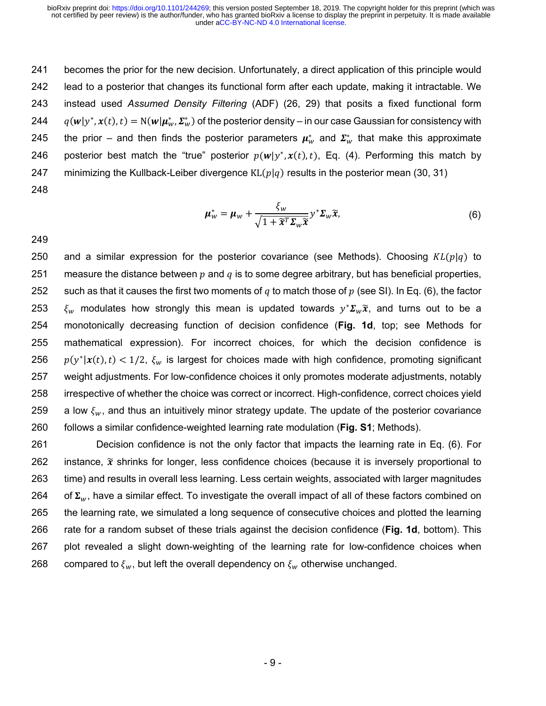241 becomes the prior for the new decision. Unfortunately, a direct application of this principle would 242 lead to a posterior that changes its functional form after each update, making it intractable. We 243 instead used *Assumed Density Filtering* (ADF) (26, 29) that posits a fixed functional form 244  $q(w|y^*, x(t), t) = N(w|\mu_w^*, \Sigma_w^*)$  of the posterior density – in our case Gaussian for consistency with 245 the prior – and then finds the posterior parameters  $\mu_w^*$  and  $\Sigma_w^*$  that make this approximate 246 posterior best match the "true" posterior  $p(w|y^*, x(t), t)$ , Eq. (4). Performing this match by 247 minimizing the Kullback-Leiber divergence  $KL(p|q)$  results in the posterior mean (30, 31)

248

 $\mu_w^* = \mu_w + \frac{\xi_w}{\sqrt{1-\xi_w}}$  $\sqrt{1 + \widetilde{\mathbf{\chi}}^T\mathbf{\Sigma}_w\widetilde{\mathbf{\chi}}}$  $y^* \Sigma_w \widetilde{x},$  (6)

249

250 and a similar expression for the posterior covariance (see Methods). Choosing  $KL(p|q)$  to 251 measure the distance between  $p$  and  $q$  is to some degree arbitrary, but has beneficial properties, 252 such as that it causes the first two moments of  $q$  to match those of  $p$  (see SI). In Eq. (6), the factor  $\xi_w$  modulates how strongly this mean is updated towards  $y^* \Sigma_w \tilde{x}$ , and turns out to be a monotonically decreasing function of decision confidence (**Fig. 1d**, top; see Methods for mathematical expression). For incorrect choices, for which the decision confidence is  $p(y^* | x(t), t) < 1/2$ ,  $\xi_w$  is largest for choices made with high confidence, promoting significant weight adjustments. For low-confidence choices it only promotes moderate adjustments, notably irrespective of whether the choice was correct or incorrect. High-confidence, correct choices yield 259 a low  $\xi_w$ , and thus an intuitively minor strategy update. The update of the posterior covariance follows a similar confidence-weighted learning rate modulation (**Fig. S1**; Methods).

 Decision confidence is not the only factor that impacts the learning rate in Eq. (6). For 262 instance,  $\tilde{x}$  shrinks for longer, less confidence choices (because it is inversely proportional to time) and results in overall less learning. Less certain weights, associated with larger magnitudes 264 of  $\Sigma_w$ , have a similar effect. To investigate the overall impact of all of these factors combined on the learning rate, we simulated a long sequence of consecutive choices and plotted the learning rate for a random subset of these trials against the decision confidence (**Fig. 1d**, bottom). This plot revealed a slight down-weighting of the learning rate for low-confidence choices when 268 compared to  $\xi_w$ , but left the overall dependency on  $\xi_w$  otherwise unchanged.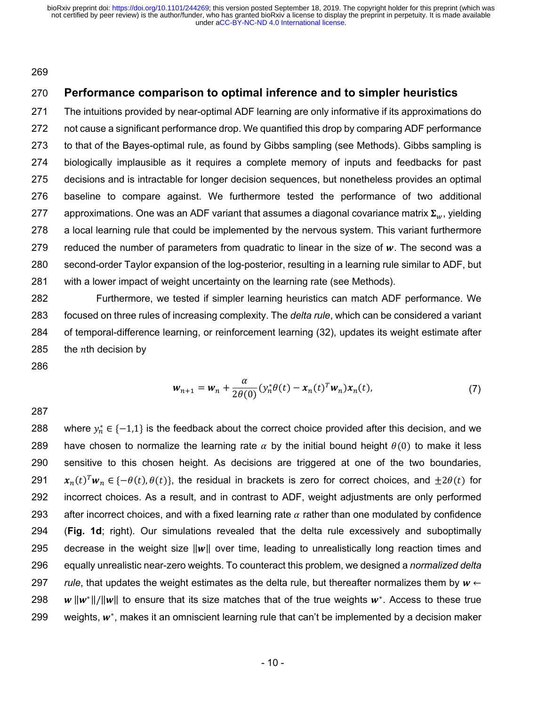269

# 270 **Performance comparison to optimal inference and to simpler heuristics**

 The intuitions provided by near-optimal ADF learning are only informative if its approximations do not cause a significant performance drop. We quantified this drop by comparing ADF performance to that of the Bayes-optimal rule, as found by Gibbs sampling (see Methods). Gibbs sampling is biologically implausible as it requires a complete memory of inputs and feedbacks for past decisions and is intractable for longer decision sequences, but nonetheless provides an optimal baseline to compare against. We furthermore tested the performance of two additional 277 approximations. One was an ADF variant that assumes a diagonal covariance matrix  $\Sigma_{\omega}$ , yielding 278 a local learning rule that could be implemented by the nervous system. This variant furthermore 279 reduced the number of parameters from quadratic to linear in the size of  $w$ . The second was a second-order Taylor expansion of the log-posterior, resulting in a learning rule similar to ADF, but with a lower impact of weight uncertainty on the learning rate (see Methods).

 Furthermore, we tested if simpler learning heuristics can match ADF performance. We focused on three rules of increasing complexity. The *delta rule*, which can be considered a variant of temporal-difference learning, or reinforcement learning (32), updates its weight estimate after 285 the *n*th decision by

 $\frac{a}{2\theta(0)}(y_n^* \theta(t) - x_n(t)^T w_n) x_n(t),$  (7)

 $\alpha$ 

 $w_{n+1} = w_n +$ 

286

287

288 where  $y_n^* \in \{-1,1\}$  is the feedback about the correct choice provided after this decision, and we 289 have chosen to normalize the learning rate  $\alpha$  by the initial bound height  $\theta(0)$  to make it less 290 sensitive to this chosen height. As decisions are triggered at one of the two boundaries, 291  $x_n(t)^T w_n \in \{-\theta(t), \theta(t)\}\)$ , the residual in brackets is zero for correct choices, and  $\pm 2\theta(t)$  for 292 incorrect choices. As a result, and in contrast to ADF, weight adjustments are only performed 293 after incorrect choices, and with a fixed learning rate  $\alpha$  rather than one modulated by confidence 294 (**Fig. 1d**; right). Our simulations revealed that the delta rule excessively and suboptimally 295 decrease in the weight size  $\|w\|$  over time, leading to unrealistically long reaction times and 296 equally unrealistic near-zero weights. To counteract this problem, we designed a *normalized delta*  297 *rule*, that updates the weight estimates as the delta rule, but thereafter normalizes them by  $w \leftarrow$ 298  $w||w^*||/||w||$  to ensure that its size matches that of the true weights  $w^*$ . Access to these true 299 weights,  $w^*$ , makes it an omniscient learning rule that can't be implemented by a decision maker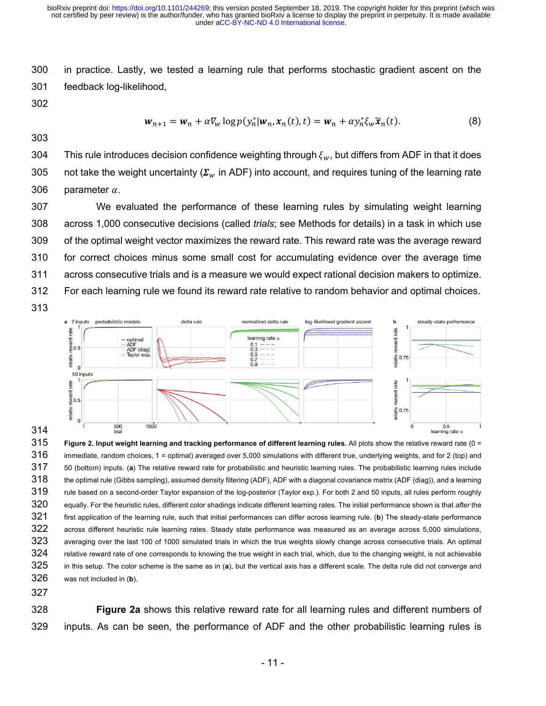in practice. Lastly, we tested a learning rule that performs stochastic gradient ascent on the feedback log-likelihood,

$$
\mathbf{w}_{n+1} = \mathbf{w}_n + \alpha \nabla_w \log p(y_n^* | \mathbf{w}_n, \mathbf{x}_n(t), t) = \mathbf{w}_n + \alpha y_n^* \zeta_w \widetilde{\mathbf{x}}_n(t). \tag{8}
$$

304 This rule introduces decision confidence weighting through  $\xi_w$ , but differs from ADF in that it does 305 not take the weight uncertainty ( $\Sigma_w$  in ADF) into account, and requires tuning of the learning rate 306 parameter  $\alpha$ .

 We evaluated the performance of these learning rules by simulating weight learning across 1,000 consecutive decisions (called *trials*; see Methods for details) in a task in which use of the optimal weight vector maximizes the reward rate. This reward rate was the average reward for correct choices minus some small cost for accumulating evidence over the average time across consecutive trials and is a measure we would expect rational decision makers to optimize. For each learning rule we found its reward rate relative to random behavior and optimal choices. 





 **Figure 2a** shows this relative reward rate for all learning rules and different numbers of inputs. As can be seen, the performance of ADF and the other probabilistic learning rules is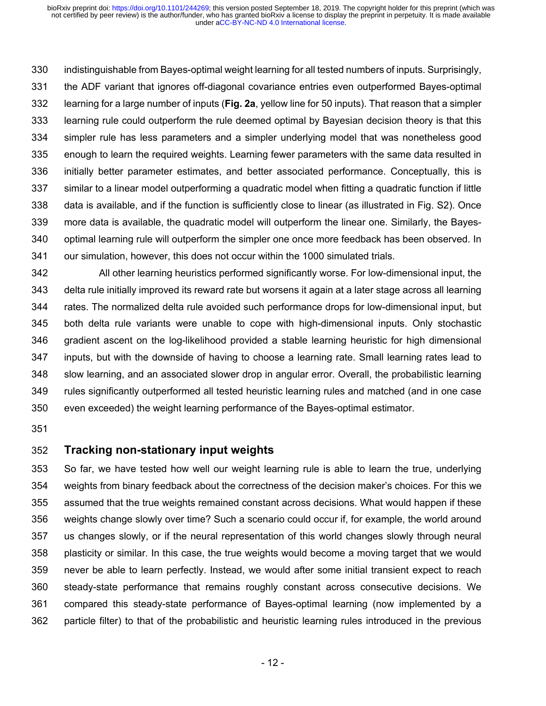indistinguishable from Bayes-optimal weight learning for all tested numbers of inputs. Surprisingly, the ADF variant that ignores off-diagonal covariance entries even outperformed Bayes-optimal learning for a large number of inputs (**Fig. 2a**, yellow line for 50 inputs). That reason that a simpler learning rule could outperform the rule deemed optimal by Bayesian decision theory is that this simpler rule has less parameters and a simpler underlying model that was nonetheless good enough to learn the required weights. Learning fewer parameters with the same data resulted in initially better parameter estimates, and better associated performance. Conceptually, this is similar to a linear model outperforming a quadratic model when fitting a quadratic function if little data is available, and if the function is sufficiently close to linear (as illustrated in Fig. S2). Once more data is available, the quadratic model will outperform the linear one. Similarly, the Bayes- optimal learning rule will outperform the simpler one once more feedback has been observed. In our simulation, however, this does not occur within the 1000 simulated trials.

 All other learning heuristics performed significantly worse. For low-dimensional input, the delta rule initially improved its reward rate but worsens it again at a later stage across all learning rates. The normalized delta rule avoided such performance drops for low-dimensional input, but both delta rule variants were unable to cope with high-dimensional inputs. Only stochastic gradient ascent on the log-likelihood provided a stable learning heuristic for high dimensional inputs, but with the downside of having to choose a learning rate. Small learning rates lead to slow learning, and an associated slower drop in angular error. Overall, the probabilistic learning rules significantly outperformed all tested heuristic learning rules and matched (and in one case even exceeded) the weight learning performance of the Bayes-optimal estimator.

# **Tracking non-stationary input weights**

 So far, we have tested how well our weight learning rule is able to learn the true, underlying weights from binary feedback about the correctness of the decision maker's choices. For this we assumed that the true weights remained constant across decisions. What would happen if these weights change slowly over time? Such a scenario could occur if, for example, the world around us changes slowly, or if the neural representation of this world changes slowly through neural plasticity or similar. In this case, the true weights would become a moving target that we would never be able to learn perfectly. Instead, we would after some initial transient expect to reach steady-state performance that remains roughly constant across consecutive decisions. We compared this steady-state performance of Bayes-optimal learning (now implemented by a particle filter) to that of the probabilistic and heuristic learning rules introduced in the previous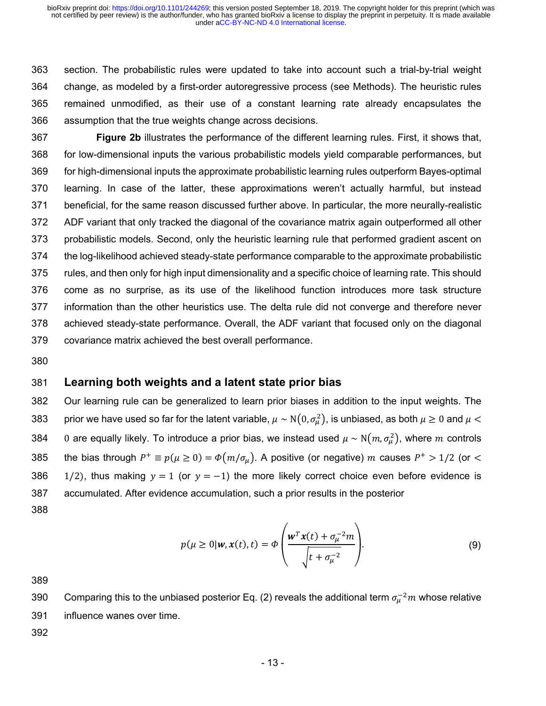section. The probabilistic rules were updated to take into account such a trial-by-trial weight change, as modeled by a first-order autoregressive process (see Methods). The heuristic rules remained unmodified, as their use of a constant learning rate already encapsulates the assumption that the true weights change across decisions.

 **Figure 2b** illustrates the performance of the different learning rules. First, it shows that, for low-dimensional inputs the various probabilistic models yield comparable performances, but for high-dimensional inputs the approximate probabilistic learning rules outperform Bayes-optimal learning. In case of the latter, these approximations weren't actually harmful, but instead beneficial, for the same reason discussed further above. In particular, the more neurally-realistic ADF variant that only tracked the diagonal of the covariance matrix again outperformed all other probabilistic models. Second, only the heuristic learning rule that performed gradient ascent on the log-likelihood achieved steady-state performance comparable to the approximate probabilistic rules, and then only for high input dimensionality and a specific choice of learning rate. This should come as no surprise, as its use of the likelihood function introduces more task structure information than the other heuristics use. The delta rule did not converge and therefore never achieved steady-state performance. Overall, the ADF variant that focused only on the diagonal covariance matrix achieved the best overall performance.

# **Learning both weights and a latent state prior bias**

 Our learning rule can be generalized to learn prior biases in addition to the input weights. The  $-$  prior we have used so far for the latent variable,  $\mu\sim \text{N}\big(0,\sigma_\mu^2\big),$  is unbiased, as both  $\mu\geq 0$  and  $\mu<$ 384 bit 0 are equally likely. To introduce a prior bias, we instead used  $\mu \sim N(m,\sigma_\mu^2)$ , where  $m$  controls 385 the bias through  $P^+ \equiv p(\mu \ge 0) = \Phi(m/\sigma_\mu)$ . A positive (or negative) *m* causes  $P^+ > 1/2$  (or < 386 1/2), thus making  $y = 1$  (or  $y = -1$ ) the more likely correct choice even before evidence is accumulated. After evidence accumulation, such a prior results in the posterior

$$
p(\mu \ge 0 | \mathbf{w}, \mathbf{x}(t), t) = \Phi\left(\frac{\mathbf{w}^T \mathbf{x}(t) + \sigma_{\mu}^{-2} m}{\sqrt{t + \sigma_{\mu}^{-2}}}\right).
$$
\n(9)

390 Comparing this to the unbiased posterior Eq. (2) reveals the additional term  $\sigma_{\mu}^{-2}m$  whose relative influence wanes over time.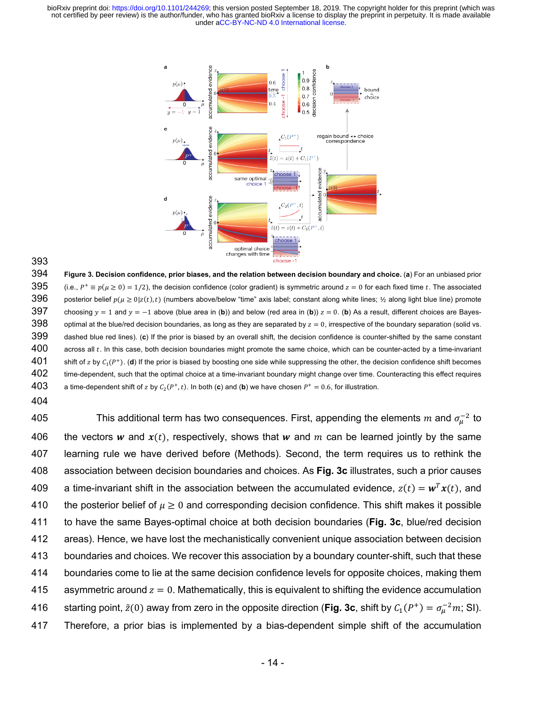

#### 393

394 **Figure 3. Decision confidence, prior biases, and the relation between decision boundary and choice.** (**a**) For an unbiased prior 395 (i.e.,  $P^+ \equiv p(\mu \ge 0) = 1/2$ ), the decision confidence (color gradient) is symmetric around  $z = 0$  for each fixed time t. The associated 396 posterior belief  $p(\mu \geq 0|z(t),t)$  (numbers above/below "time" axis label; constant along white lines; ½ along light blue line) promote 397 choosing  $y = 1$  and  $y = -1$  above (blue area in (b)) and below (red area in (b))  $z = 0$ . (b) As a result, different choices are Bayes-398 optimal at the blue/red decision boundaries, as long as they are separated by  $z = 0$ , irrespective of the boundary separation (solid vs. 399 dashed blue red lines). (**c**) If the prior is biased by an overall shift, the decision confidence is counter-shifted by the same constant  $400$  across all t. In this case, both decision boundaries might promote the same choice, which can be counter-acted by a time-invariant 401 shift of z by  $C_1(P^+)$ . (d) If the prior is biased by boosting one side while suppressing the other, the decision confidence shift becomes 402 time-dependent, such that the optimal choice at a time-invariant boundary might change over time. Counteracting this effect requires 403 a time-dependent shift of z by  $C_2(P^+,t)$ . In both (**c**) and (**b**) we have chosen  $P^+ = 0.6$ , for illustration.

404

**This additional term has two consequences**. First, appending the elements  $m$  and  $\sigma_{\mu}^{-2}$  to 406 the vectors w and  $x(t)$ , respectively, shows that w and m can be learned jointly by the same learning rule we have derived before (Methods). Second, the term requires us to rethink the association between decision boundaries and choices. As **Fig. 3c** illustrates, such a prior causes 409 a time-invariant shift in the association between the accumulated evidence,  $z(t) = \mathbf{w}^T x(t)$ , and 410 the posterior belief of  $\mu \geq 0$  and corresponding decision confidence. This shift makes it possible to have the same Bayes-optimal choice at both decision boundaries (**Fig. 3c**, blue/red decision areas). Hence, we have lost the mechanistically convenient unique association between decision boundaries and choices. We recover this association by a boundary counter-shift, such that these boundaries come to lie at the same decision confidence levels for opposite choices, making them 415 asymmetric around  $z = 0$ . Mathematically, this is equivalent to shifting the evidence accumulation 416 starting point,  $\tilde{z}(0)$  away from zero in the opposite direction (**Fig. 3c**, shift by  $C_1(P^+) = \sigma_u^{-2}m$ ; SI). Therefore, a prior bias is implemented by a bias-dependent simple shift of the accumulation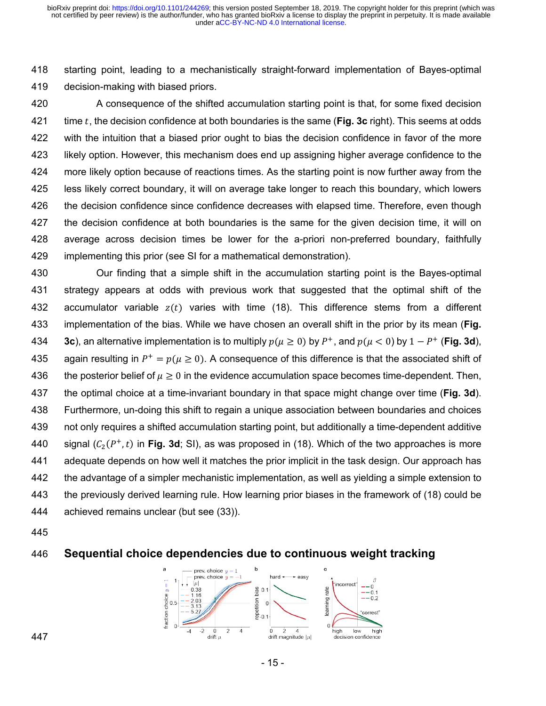starting point, leading to a mechanistically straight-forward implementation of Bayes-optimal decision-making with biased priors.

 A consequence of the shifted accumulation starting point is that, for some fixed decision 421 time  $t$ , the decision confidence at both boundaries is the same (**Fig. 3c** right). This seems at odds with the intuition that a biased prior ought to bias the decision confidence in favor of the more likely option. However, this mechanism does end up assigning higher average confidence to the more likely option because of reactions times. As the starting point is now further away from the less likely correct boundary, it will on average take longer to reach this boundary, which lowers 426 the decision confidence since confidence decreases with elapsed time. Therefore, even though 427 the decision confidence at both boundaries is the same for the given decision time, it will on average across decision times be lower for the a-priori non-preferred boundary, faithfully implementing this prior (see SI for a mathematical demonstration).

 Our finding that a simple shift in the accumulation starting point is the Bayes-optimal strategy appears at odds with previous work that suggested that the optimal shift of the 432 accumulator variable  $z(t)$  varies with time (18). This difference stems from a different implementation of the bias. While we have chosen an overall shift in the prior by its mean (**Fig. 3c**), an alternative implementation is to multiply  $p(\mu \ge 0)$  by  $P^+$ , and  $p(\mu < 0)$  by  $1 - P^+$  (Fig. 3d), 435 again resulting in  $P^+ = p(\mu \ge 0)$ . A consequence of this difference is that the associated shift of 436 the posterior belief of  $\mu \geq 0$  in the evidence accumulation space becomes time-dependent. Then, the optimal choice at a time-invariant boundary in that space might change over time (**Fig. 3d**). Furthermore, un-doing this shift to regain a unique association between boundaries and choices not only requires a shifted accumulation starting point, but additionally a time-dependent additive 440 signal  $(C_2(P^+, t))$  in **Fig. 3d**; SI), as was proposed in (18). Which of the two approaches is more adequate depends on how well it matches the prior implicit in the task design. Our approach has the advantage of a simpler mechanistic implementation, as well as yielding a simple extension to the previously derived learning rule. How learning prior biases in the framework of (18) could be achieved remains unclear (but see (33)).

# **Sequential choice dependencies due to continuous weight tracking**

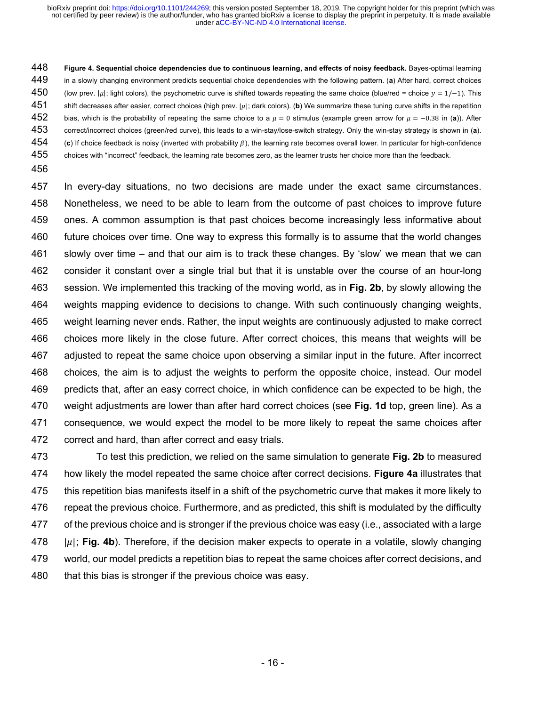**Figure 4. Sequential choice dependencies due to continuous learning, and effects of noisy feedback.** Bayes-optimal learning in a slowly changing environment predicts sequential choice dependencies with the following pattern. (**a**) After hard, correct choices 450 (low prev. |µ|; light colors), the psychometric curve is shifted towards repeating the same choice (blue/red = choice  $y = 1/-1$ ). This 451 shift decreases after easier, correct choices (high prev. |µ|; dark colors). (b) We summarize these tuning curve shifts in the repetition 452 bias, which is the probability of repeating the same choice to a  $\mu = 0$  stimulus (example green arrow for  $\mu = -0.38$  in (a)). After correct/incorrect choices (green/red curve), this leads to a win-stay/lose-switch strategy. Only the win-stay strategy is shown in (**a**). 454 (c) If choice feedback is noisy (inverted with probability  $\beta$ ), the learning rate becomes overall lower. In particular for high-confidence 455 choices with "incorrect" feedback, the learning rate becomes zero, as the learner trusts her choice more than the feedback.

 In every-day situations, no two decisions are made under the exact same circumstances. Nonetheless, we need to be able to learn from the outcome of past choices to improve future ones. A common assumption is that past choices become increasingly less informative about future choices over time. One way to express this formally is to assume that the world changes slowly over time – and that our aim is to track these changes. By 'slow' we mean that we can consider it constant over a single trial but that it is unstable over the course of an hour-long session. We implemented this tracking of the moving world, as in **Fig. 2b**, by slowly allowing the weights mapping evidence to decisions to change. With such continuously changing weights, weight learning never ends. Rather, the input weights are continuously adjusted to make correct choices more likely in the close future. After correct choices, this means that weights will be adjusted to repeat the same choice upon observing a similar input in the future. After incorrect choices, the aim is to adjust the weights to perform the opposite choice, instead. Our model predicts that, after an easy correct choice, in which confidence can be expected to be high, the weight adjustments are lower than after hard correct choices (see **Fig. 1d** top, green line). As a consequence, we would expect the model to be more likely to repeat the same choices after correct and hard, than after correct and easy trials.

 To test this prediction, we relied on the same simulation to generate **Fig. 2b** to measured how likely the model repeated the same choice after correct decisions. **Figure 4a** illustrates that this repetition bias manifests itself in a shift of the psychometric curve that makes it more likely to repeat the previous choice. Furthermore, and as predicted, this shift is modulated by the difficulty of the previous choice and is stronger if the previous choice was easy (i.e., associated with a large  $|\mu|$ ; **Fig. 4b**). Therefore, if the decision maker expects to operate in a volatile, slowly changing world, our model predicts a repetition bias to repeat the same choices after correct decisions, and 480 that this bias is stronger if the previous choice was easy.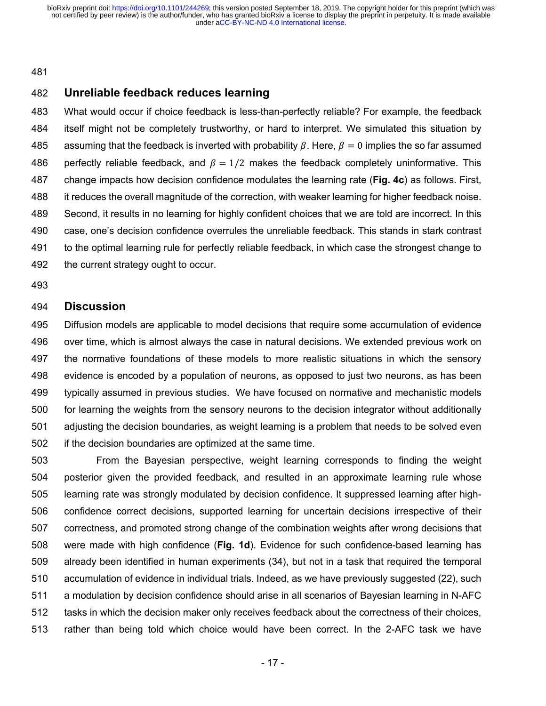#### 

## **Unreliable feedback reduces learning**

 What would occur if choice feedback is less-than-perfectly reliable? For example, the feedback itself might not be completely trustworthy, or hard to interpret. We simulated this situation by 485 assuming that the feedback is inverted with probability  $\beta$ . Here,  $\beta = 0$  implies the so far assumed 486 perfectly reliable feedback, and  $\beta = 1/2$  makes the feedback completely uninformative. This change impacts how decision confidence modulates the learning rate (**Fig. 4c**) as follows. First, it reduces the overall magnitude of the correction, with weaker learning for higher feedback noise. Second, it results in no learning for highly confident choices that we are told are incorrect. In this case, one's decision confidence overrules the unreliable feedback. This stands in stark contrast to the optimal learning rule for perfectly reliable feedback, in which case the strongest change to 492 the current strategy ought to occur.

## **Discussion**

 Diffusion models are applicable to model decisions that require some accumulation of evidence over time, which is almost always the case in natural decisions. We extended previous work on the normative foundations of these models to more realistic situations in which the sensory evidence is encoded by a population of neurons, as opposed to just two neurons, as has been typically assumed in previous studies. We have focused on normative and mechanistic models for learning the weights from the sensory neurons to the decision integrator without additionally adjusting the decision boundaries, as weight learning is a problem that needs to be solved even if the decision boundaries are optimized at the same time.

 From the Bayesian perspective, weight learning corresponds to finding the weight posterior given the provided feedback, and resulted in an approximate learning rule whose learning rate was strongly modulated by decision confidence. It suppressed learning after high- confidence correct decisions, supported learning for uncertain decisions irrespective of their correctness, and promoted strong change of the combination weights after wrong decisions that were made with high confidence (**Fig. 1d**). Evidence for such confidence-based learning has already been identified in human experiments (34), but not in a task that required the temporal accumulation of evidence in individual trials. Indeed, as we have previously suggested (22), such a modulation by decision confidence should arise in all scenarios of Bayesian learning in N-AFC tasks in which the decision maker only receives feedback about the correctness of their choices, rather than being told which choice would have been correct. In the 2-AFC task we have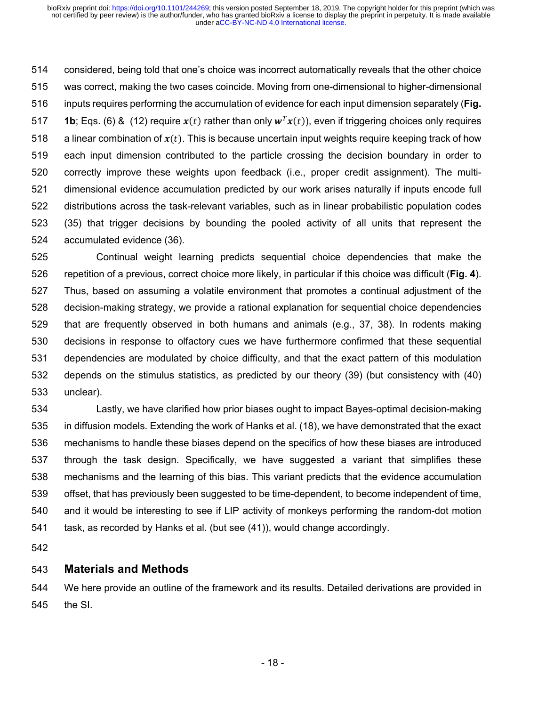considered, being told that one's choice was incorrect automatically reveals that the other choice was correct, making the two cases coincide. Moving from one-dimensional to higher-dimensional inputs requires performing the accumulation of evidence for each input dimension separately (**Fig. 1b**; Eqs. (6) & (12) require  $x(t)$  rather than only  $w^T x(t)$ , even if triggering choices only requires 518 a linear combination of  $x(t)$ . This is because uncertain input weights require keeping track of how each input dimension contributed to the particle crossing the decision boundary in order to correctly improve these weights upon feedback (i.e., proper credit assignment). The multi- dimensional evidence accumulation predicted by our work arises naturally if inputs encode full distributions across the task-relevant variables, such as in linear probabilistic population codes (35) that trigger decisions by bounding the pooled activity of all units that represent the accumulated evidence (36).

 Continual weight learning predicts sequential choice dependencies that make the repetition of a previous, correct choice more likely, in particular if this choice was difficult (**Fig. 4**). Thus, based on assuming a volatile environment that promotes a continual adjustment of the decision-making strategy, we provide a rational explanation for sequential choice dependencies that are frequently observed in both humans and animals (e.g., 37, 38). In rodents making decisions in response to olfactory cues we have furthermore confirmed that these sequential dependencies are modulated by choice difficulty, and that the exact pattern of this modulation depends on the stimulus statistics, as predicted by our theory (39) (but consistency with (40) unclear).

 Lastly, we have clarified how prior biases ought to impact Bayes-optimal decision-making in diffusion models. Extending the work of Hanks et al. (18), we have demonstrated that the exact mechanisms to handle these biases depend on the specifics of how these biases are introduced through the task design. Specifically, we have suggested a variant that simplifies these mechanisms and the learning of this bias. This variant predicts that the evidence accumulation offset, that has previously been suggested to be time-dependent, to become independent of time, and it would be interesting to see if LIP activity of monkeys performing the random-dot motion task, as recorded by Hanks et al. (but see (41)), would change accordingly.

# **Materials and Methods**

 We here provide an outline of the framework and its results. Detailed derivations are provided in the SI.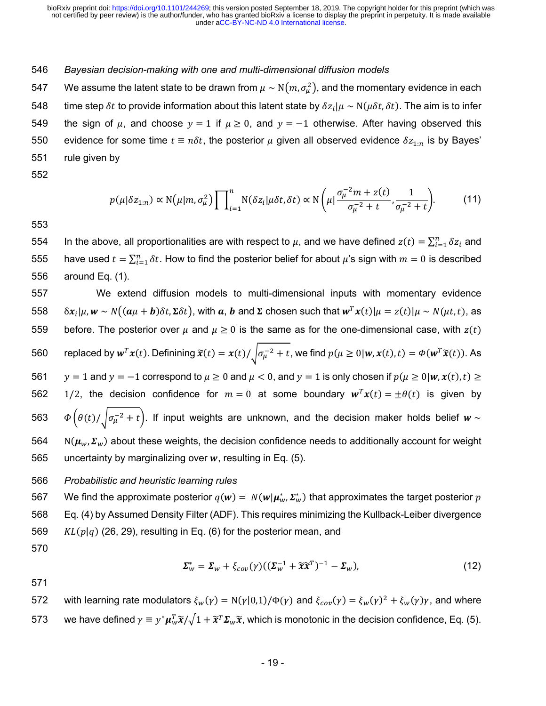#### 546 *Bayesian decision-making with one and multi-dimensional diffusion models*

547 We assume the latent state to be drawn from  $\mu \sim {\rm N}(m, \sigma_\mu^2)$ , and the momentary evidence in each time step δt to provide information about this latent state by  $\delta z_i | \mu \sim N(\mu \delta t, \delta t)$ . The aim is to infer 549 the sign of  $\mu$ , and choose  $y = 1$  if  $\mu \ge 0$ , and  $y = -1$  otherwise. After having observed this 550 evidence for some time  $t \equiv n\delta t$ , the posterior  $\mu$  given all observed evidence  $\delta z_{1:n}$  is by Bayes' 551 rule given by

552

$$
p(\mu|\delta z_{1:n}) \propto \mathcal{N}(\mu|m, \sigma_{\mu}^2) \prod_{i=1}^n \mathcal{N}(\delta z_i|\mu \delta t, \delta t) \propto \mathcal{N}\left(\mu|\frac{\sigma_{\mu}^{-2}m + z(t)}{\sigma_{\mu}^{-2} + t}, \frac{1}{\sigma_{\mu}^{-2} + t}\right).
$$
 (11)

553

554 In the above, all proportionalities are with respect to  $\mu$ , and we have defined  $z(t) = \sum_{i=1}^n \delta z_i$  and 555 have used  $t = \sum_{i=1}^{n} \delta t$ . How to find the posterior belief for about  $\mu$ 's sign with  $m = 0$  is described 556 around Eq. (1).

557 We extend diffusion models to multi-dimensional inputs with momentary evidence  $558$   $δx_i|µ$ ,  $w \sim N((aµ + b)δt, Σδt)$ , with a, b and Σ chosen such that  $w^T x(t)|µ = z(t)|µ \sim N(µt, t)$ , as 559 before. The posterior over  $\mu$  and  $\mu \ge 0$  is the same as for the one-dimensional case, with  $z(t)$ 560 replaced by  $w^T x(t)$ . Definining  $\widetilde{x}(t) = x(t)/\sqrt{|\sigma_\mu^{-2} + t}$ , we find  $p(\mu \geq 0 | w, x(t), t) = \Phi(w^T \widetilde{x}(t))$ . As 561  $y = 1$  and  $y = -1$  correspond to  $\mu \ge 0$  and  $\mu < 0$ , and  $y = 1$  is only chosen if  $p(\mu \ge 0 | w, x(t), t) \ge$ 562 1/2, the decision confidence for  $m = 0$  at some boundary  $w^T x(t) = \pm \theta(t)$  is given by 563  $\Phi(\theta(t)/\sqrt{\sigma_{\mu}^{-2}+t})$ . If input weights are unknown, and the decision maker holds belief  $w \sim$ 564 N( $(\mu_w, \Sigma_w)$  about these weights, the decision confidence needs to additionally account for weight 565 uncertainty by marginalizing over  $w$ , resulting in Eq. (5).

566 *Probabilistic and heuristic learning rules*

567 We find the approximate posterior  $q(w) = N(w|\mu^*_w, \Sigma^*_w)$  that approximates the target posterior  $p$ 568 Eq. (4) by Assumed Density Filter (ADF). This requires minimizing the Kullback-Leiber divergence 569  $KL(p|q)$  (26, 29), resulting in Eq. (6) for the posterior mean, and

570

$$
\Sigma_W^* = \Sigma_W + \xi_{cov}(\gamma)((\Sigma_W^{-1} + \widetilde{\chi}\widetilde{\chi}^T)^{-1} - \Sigma_W), \tag{12}
$$

571

572 with learning rate modulators  $\xi_w(\gamma) = N(\gamma|0,1)/\Phi(\gamma)$  and  $\xi_{cov}(\gamma) = \xi_w(\gamma)^2 + \xi_w(\gamma)\gamma$ , and where 573 we have defined  $\gamma\equiv y^*\pmb{\mu}_w^T\widetilde{\pmb{x}}/\sqrt{1+\widetilde{\pmb{x}}^T\pmb{\Sigma}_w\widetilde{\pmb{x}}},$  which is monotonic in the decision confidence, Eq. (5).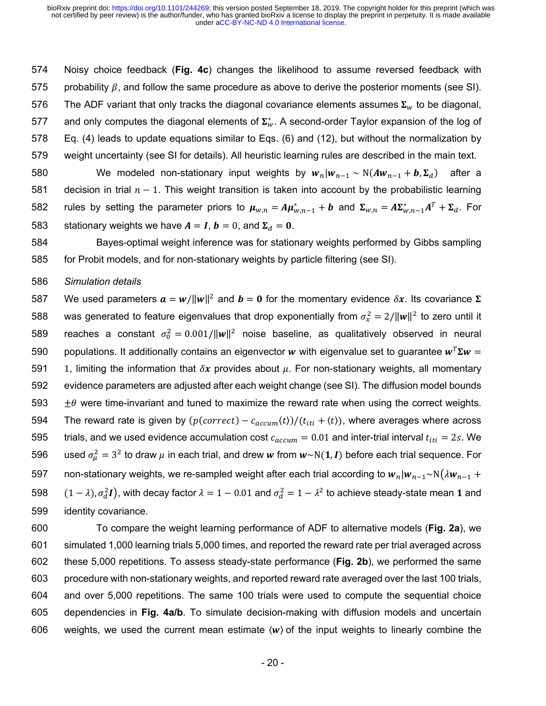574 Noisy choice feedback (**Fig. 4c**) changes the likelihood to assume reversed feedback with 575 probability  $\beta$ , and follow the same procedure as above to derive the posterior moments (see SI). 576 The ADF variant that only tracks the diagonal covariance elements assumes  $\Sigma_w$  to be diagonal, 577 and only computes the diagonal elements of  $\Sigma^*_w$ . A second-order Taylor expansion of the log of 578 Eq. (4) leads to update equations similar to Eqs. (6) and (12), but without the normalization by 579 weight uncertainty (see SI for details). All heuristic learning rules are described in the main text.

580 We modeled non-stationary input weights by  $w_n|w_{n-1} \sim N(Aw_{n-1} + b, \Sigma_d)$  after a 581 decision in trial  $n - 1$ . This weight transition is taken into account by the probabilistic learning 582 rules by setting the parameter priors to  $\mu_{w,n} = A\mu_{w,n-1}^* + b$  and  $\Sigma_{w,n} = A\Sigma_{w,n-1}^*A^T + \Sigma_d$ . For 583 stationary weights we have  $A = I$ ,  $b = 0$ , and  $\Sigma_d = 0$ .

584 Bayes-optimal weight inference was for stationary weights performed by Gibbs sampling 585 for Probit models, and for non-stationary weights by particle filtering (see SI).

#### 586 *Simulation details*

587 We used parameters  $a = w/||w||^2$  and  $b = 0$  for the momentary evidence  $\delta x$ . Its covariance  $\Sigma$ 588 was generated to feature eigenvalues that drop exponentially from  $\sigma_x^2 = 2/||w||^2$  to zero until it 589 reaches a constant  $\sigma_0^2 = 0.001/\|\boldsymbol{w}\|^2$  noise baseline, as qualitatively observed in neural 590 populations. It additionally contains an eigenvector w with eigenvalue set to guarantee  $w^T \Sigma w =$ 591 1, limiting the information that  $\delta x$  provides about  $\mu$ . For non-stationary weights, all momentary 592 evidence parameters are adjusted after each weight change (see SI). The diffusion model bounds 593  $\pm \theta$  were time-invariant and tuned to maximize the reward rate when using the correct weights. 594 The reward rate is given by  $(p(correct) - c_{accum}(t))/(t_{tit} + \langle t \rangle)$ , where averages where across 595 trials, and we used evidence accumulation cost  $c_{accum} = 0.01$  and inter-trial interval  $t_{tit} = 2s$ . We 596 used  $\sigma_{\mu}^2 = 3^2$  to draw  $\mu$  in each trial, and drew w from  $w \sim N(1, I)$  before each trial sequence. For 597 non-stationary weights, we re-sampled weight after each trial according to  $w_n|w_{n-1} \sim N(\lambda w_{n-1} +$ 598 (1 − λ),  $\sigma_d^2 I$ ), with decay factor  $\lambda = 1 - 0.01$  and  $\sigma_d^2 = 1 - \lambda^2$  to achieve steady-state mean 1 and 599 identity covariance.

 To compare the weight learning performance of ADF to alternative models (**Fig. 2a**), we simulated 1,000 learning trials 5,000 times, and reported the reward rate per trial averaged across these 5,000 repetitions. To assess steady-state performance (**Fig. 2b**), we performed the same procedure with non-stationary weights, and reported reward rate averaged over the last 100 trials, and over 5,000 repetitions. The same 100 trials were used to compute the sequential choice dependencies in **Fig. 4a/b**. To simulate decision-making with diffusion models and uncertain 606 weights, we used the current mean estimate  $\langle w \rangle$  of the input weights to linearly combine the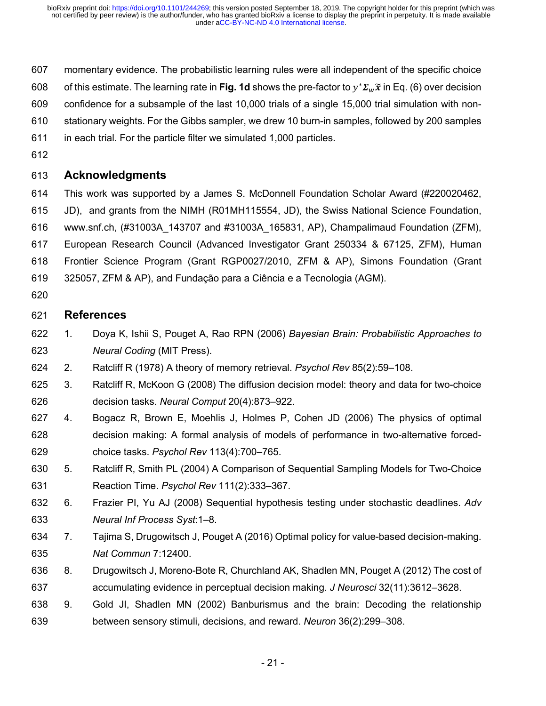momentary evidence. The probabilistic learning rules were all independent of the specific choice

- 608 of this estimate. The learning rate in **Fig. 1d** shows the pre-factor to *ν*<sup>\*</sup>Σ<sub>*ω*</sub>  $\tilde{x}$  in Eq. (6) over decision
- confidence for a subsample of the last 10,000 trials of a single 15,000 trial simulation with non-
- stationary weights. For the Gibbs sampler, we drew 10 burn-in samples, followed by 200 samples
- in each trial. For the particle filter we simulated 1,000 particles.
- 

# **Acknowledgments**

This work was supported by a James S. McDonnell Foundation Scholar Award (#220020462,

JD), and grants from the NIMH (R01MH115554, JD), the Swiss National Science Foundation,

www.snf.ch, (#31003A\_143707 and #31003A\_165831, AP), Champalimaud Foundation (ZFM),

 European Research Council (Advanced Investigator Grant 250334 & 67125, ZFM), Human Frontier Science Program (Grant RGP0027/2010, ZFM & AP), Simons Foundation (Grant

- 325057, ZFM & AP), and Fundação para a Ciência e a Tecnologia (AGM).
- 

# **References**

- 1. Doya K, Ishii S, Pouget A, Rao RPN (2006) *Bayesian Brain: Probabilistic Approaches to Neural Coding* (MIT Press).
- 2. Ratcliff R (1978) A theory of memory retrieval. *Psychol Rev* 85(2):59–108.
- 3. Ratcliff R, McKoon G (2008) The diffusion decision model: theory and data for two-choice decision tasks. *Neural Comput* 20(4):873–922.
- 4. Bogacz R, Brown E, Moehlis J, Holmes P, Cohen JD (2006) The physics of optimal decision making: A formal analysis of models of performance in two-alternative forced-choice tasks. *Psychol Rev* 113(4):700–765.
- 5. Ratcliff R, Smith PL (2004) A Comparison of Sequential Sampling Models for Two-Choice Reaction Time. *Psychol Rev* 111(2):333–367.
- 6. Frazier PI, Yu AJ (2008) Sequential hypothesis testing under stochastic deadlines. *Adv Neural Inf Process Syst*:1–8.
- 7. Tajima S, Drugowitsch J, Pouget A (2016) Optimal policy for value-based decision-making. *Nat Commun* 7:12400.
- 8. Drugowitsch J, Moreno-Bote R, Churchland AK, Shadlen MN, Pouget A (2012) The cost of accumulating evidence in perceptual decision making. *J Neurosci* 32(11):3612–3628.
- 9. Gold JI, Shadlen MN (2002) Banburismus and the brain: Decoding the relationship between sensory stimuli, decisions, and reward. *Neuron* 36(2):299–308.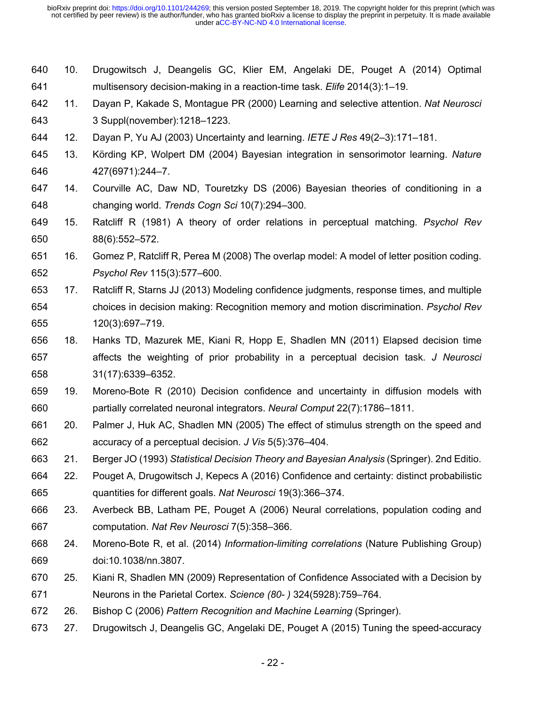- 10. Drugowitsch J, Deangelis GC, Klier EM, Angelaki DE, Pouget A (2014) Optimal multisensory decision-making in a reaction-time task. *Elife* 2014(3):1–19.
- 11. Dayan P, Kakade S, Montague PR (2000) Learning and selective attention. *Nat Neurosci* 3 Suppl(november):1218–1223.
- 12. Dayan P, Yu AJ (2003) Uncertainty and learning. *IETE J Res* 49(2–3):171–181.
- 13. Körding KP, Wolpert DM (2004) Bayesian integration in sensorimotor learning. *Nature* 427(6971):244–7.
- 14. Courville AC, Daw ND, Touretzky DS (2006) Bayesian theories of conditioning in a changing world. *Trends Cogn Sci* 10(7):294–300.
- 15. Ratcliff R (1981) A theory of order relations in perceptual matching. *Psychol Rev* 88(6):552–572.
- 16. Gomez P, Ratcliff R, Perea M (2008) The overlap model: A model of letter position coding. *Psychol Rev* 115(3):577–600.
- 17. Ratcliff R, Starns JJ (2013) Modeling confidence judgments, response times, and multiple choices in decision making: Recognition memory and motion discrimination. *Psychol Rev* 120(3):697–719.
- 18. Hanks TD, Mazurek ME, Kiani R, Hopp E, Shadlen MN (2011) Elapsed decision time affects the weighting of prior probability in a perceptual decision task. *J Neurosci* 31(17):6339–6352.
- 19. Moreno-Bote R (2010) Decision confidence and uncertainty in diffusion models with partially correlated neuronal integrators. *Neural Comput* 22(7):1786–1811.
- 20. Palmer J, Huk AC, Shadlen MN (2005) The effect of stimulus strength on the speed and accuracy of a perceptual decision. *J Vis* 5(5):376–404.
- 21. Berger JO (1993) *Statistical Decision Theory and Bayesian Analysis* (Springer). 2nd Editio.
- 22. Pouget A, Drugowitsch J, Kepecs A (2016) Confidence and certainty: distinct probabilistic quantities for different goals. *Nat Neurosci* 19(3):366–374.
- 23. Averbeck BB, Latham PE, Pouget A (2006) Neural correlations, population coding and computation. *Nat Rev Neurosci* 7(5):358–366.
- 24. Moreno-Bote R, et al. (2014) *Information-limiting correlations* (Nature Publishing Group) doi:10.1038/nn.3807.
- 25. Kiani R, Shadlen MN (2009) Representation of Confidence Associated with a Decision by Neurons in the Parietal Cortex. *Science (80- )* 324(5928):759–764.
- 26. Bishop C (2006) *Pattern Recognition and Machine Learning* (Springer).
- 27. Drugowitsch J, Deangelis GC, Angelaki DE, Pouget A (2015) Tuning the speed-accuracy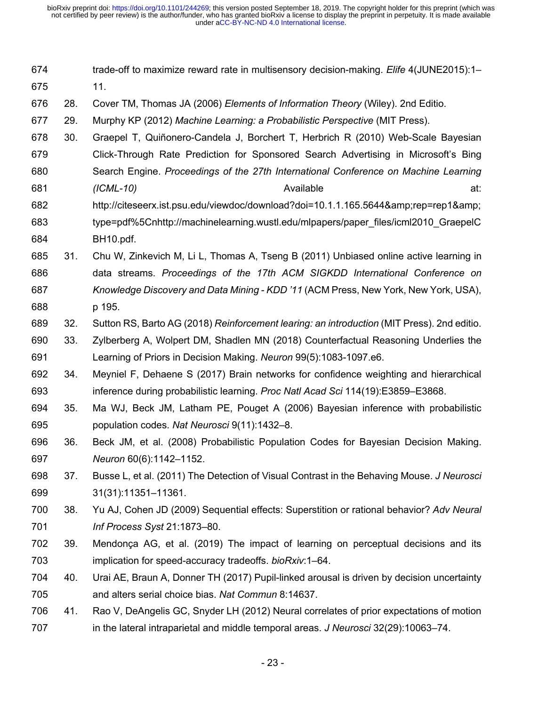- trade-off to maximize reward rate in multisensory decision-making. *Elife* 4(JUNE2015):1–
- 11.
- 28. Cover TM, Thomas JA (2006) *Elements of Information Theory* (Wiley). 2nd Editio.
- 29. Murphy KP (2012) *Machine Learning: a Probabilistic Perspective* (MIT Press).
- 30. Graepel T, Quiñonero-Candela J, Borchert T, Herbrich R (2010) Web-Scale Bayesian Click-Through Rate Prediction for Sponsored Search Advertising in Microsoft's Bing Search Engine. *Proceedings of the 27th International Conference on Machine Learning (ICML-10)* Available at:
- 682 http://citeseerx.ist.psu.edu/viewdoc/download?doi=10.1.1.165.5644&rep=rep1& type=pdf%5Cnhttp://machinelearning.wustl.edu/mlpapers/paper\_files/icml2010\_GraepelC BH10.pdf.
- 31. Chu W, Zinkevich M, Li L, Thomas A, Tseng B (2011) Unbiased online active learning in data streams. *Proceedings of the 17th ACM SIGKDD International Conference on Knowledge Discovery and Data Mining - KDD '11* (ACM Press, New York, New York, USA), p 195.
- 32. Sutton RS, Barto AG (2018) *Reinforcement learing: an introduction* (MIT Press). 2nd editio.
- 33. Zylberberg A, Wolpert DM, Shadlen MN (2018) Counterfactual Reasoning Underlies the Learning of Priors in Decision Making. *Neuron* 99(5):1083-1097.e6.
- 34. Meyniel F, Dehaene S (2017) Brain networks for confidence weighting and hierarchical inference during probabilistic learning. *Proc Natl Acad Sci* 114(19):E3859–E3868.
- 35. Ma WJ, Beck JM, Latham PE, Pouget A (2006) Bayesian inference with probabilistic population codes. *Nat Neurosci* 9(11):1432–8.
- 36. Beck JM, et al. (2008) Probabilistic Population Codes for Bayesian Decision Making. *Neuron* 60(6):1142–1152.
- 37. Busse L, et al. (2011) The Detection of Visual Contrast in the Behaving Mouse. *J Neurosci* 31(31):11351–11361.
- 38. Yu AJ, Cohen JD (2009) Sequential effects: Superstition or rational behavior? *Adv Neural Inf Process Syst* 21:1873–80.
- 39. Mendonça AG, et al. (2019) The impact of learning on perceptual decisions and its implication for speed-accuracy tradeoffs. *bioRxiv*:1–64.
- 40. Urai AE, Braun A, Donner TH (2017) Pupil-linked arousal is driven by decision uncertainty and alters serial choice bias. *Nat Commun* 8:14637.
- 41. Rao V, DeAngelis GC, Snyder LH (2012) Neural correlates of prior expectations of motion in the lateral intraparietal and middle temporal areas. *J Neurosci* 32(29):10063–74.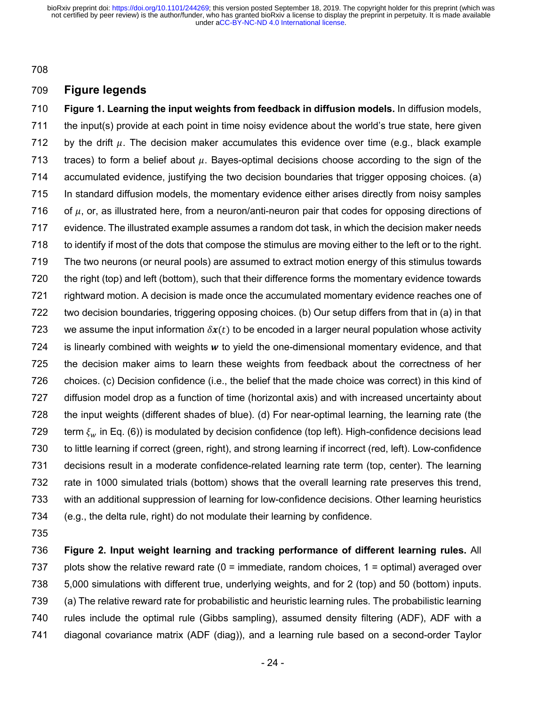# **Figure legends**

 **Figure 1. Learning the input weights from feedback in diffusion models.** In diffusion models, the input(s) provide at each point in time noisy evidence about the world's true state, here given 712 by the drift  $\mu$ . The decision maker accumulates this evidence over time (e.g., black example 713 traces) to form a belief about  $\mu$ . Bayes-optimal decisions choose according to the sign of the accumulated evidence, justifying the two decision boundaries that trigger opposing choices. (a) In standard diffusion models, the momentary evidence either arises directly from noisy samples 716 of  $\mu$ , or, as illustrated here, from a neuron/anti-neuron pair that codes for opposing directions of evidence. The illustrated example assumes a random dot task, in which the decision maker needs to identify if most of the dots that compose the stimulus are moving either to the left or to the right. The two neurons (or neural pools) are assumed to extract motion energy of this stimulus towards the right (top) and left (bottom), such that their difference forms the momentary evidence towards rightward motion. A decision is made once the accumulated momentary evidence reaches one of two decision boundaries, triggering opposing choices. (b) Our setup differs from that in (a) in that 723 we assume the input information  $\delta x(t)$  to be encoded in a larger neural population whose activity is linearly combined with weights  *to yield the one-dimensional momentary evidence, and that*  the decision maker aims to learn these weights from feedback about the correctness of her choices. (c) Decision confidence (i.e., the belief that the made choice was correct) in this kind of diffusion model drop as a function of time (horizontal axis) and with increased uncertainty about the input weights (different shades of blue). (d) For near-optimal learning, the learning rate (the 729 term  $\xi_w$  in Eq. (6)) is modulated by decision confidence (top left). High-confidence decisions lead to little learning if correct (green, right), and strong learning if incorrect (red, left). Low-confidence decisions result in a moderate confidence-related learning rate term (top, center). The learning rate in 1000 simulated trials (bottom) shows that the overall learning rate preserves this trend, with an additional suppression of learning for low-confidence decisions. Other learning heuristics (e.g., the delta rule, right) do not modulate their learning by confidence.

 **Figure 2. Input weight learning and tracking performance of different learning rules.** All 737 plots show the relative reward rate  $(0 =$  immediate, random choices,  $1 =$  optimal) averaged over 5,000 simulations with different true, underlying weights, and for 2 (top) and 50 (bottom) inputs. (a) The relative reward rate for probabilistic and heuristic learning rules. The probabilistic learning rules include the optimal rule (Gibbs sampling), assumed density filtering (ADF), ADF with a diagonal covariance matrix (ADF (diag)), and a learning rule based on a second-order Taylor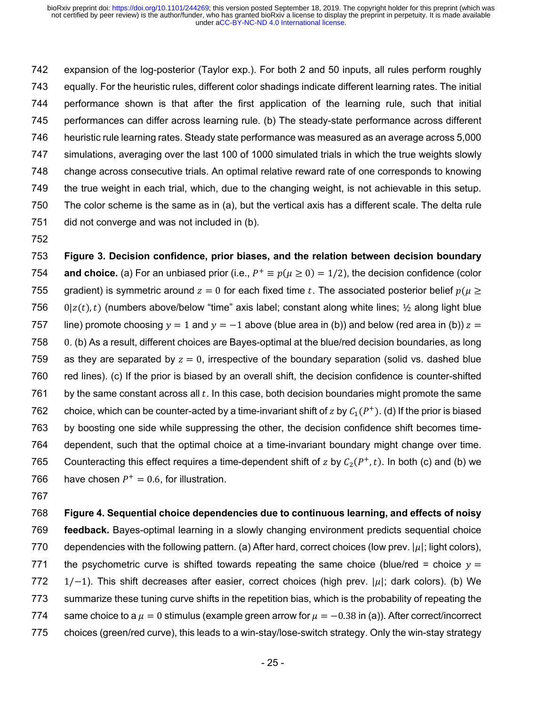expansion of the log-posterior (Taylor exp.). For both 2 and 50 inputs, all rules perform roughly equally. For the heuristic rules, different color shadings indicate different learning rates. The initial performance shown is that after the first application of the learning rule, such that initial performances can differ across learning rule. (b) The steady-state performance across different heuristic rule learning rates. Steady state performance was measured as an average across 5,000 simulations, averaging over the last 100 of 1000 simulated trials in which the true weights slowly change across consecutive trials. An optimal relative reward rate of one corresponds to knowing the true weight in each trial, which, due to the changing weight, is not achievable in this setup. The color scheme is the same as in (a), but the vertical axis has a different scale. The delta rule did not converge and was not included in (b).

752

753 **Figure 3. Decision confidence, prior biases, and the relation between decision boundary**  754 **and choice.** (a) For an unbiased prior (i.e.,  $P^+ \equiv p(\mu \ge 0) = 1/2$ ), the decision confidence (color 755 gradient) is symmetric around  $z = 0$  for each fixed time t. The associated posterior belief  $p(\mu \geq 0)$ 756 0| $z(t)$ , t) (numbers above/below "time" axis label; constant along white lines;  $\frac{1}{2}$  along light blue 757 line) promote choosing  $y = 1$  and  $y = -1$  above (blue area in (b)) and below (red area in (b))  $z =$ 758 0. (b) As a result, different choices are Bayes-optimal at the blue/red decision boundaries, as long 759 as they are separated by  $z = 0$ , irrespective of the boundary separation (solid vs. dashed blue 760 red lines). (c) If the prior is biased by an overall shift, the decision confidence is counter-shifted 761 by the same constant across all  $t$ . In this case, both decision boundaries might promote the same 762 choice, which can be counter-acted by a time-invariant shift of z by  $C_1(P^+)$ . (d) If the prior is biased 763 by boosting one side while suppressing the other, the decision confidence shift becomes time-764 dependent, such that the optimal choice at a time-invariant boundary might change over time. 765 Counteracting this effect requires a time-dependent shift of z by  $C_2(P^+,t)$ . In both (c) and (b) we 766 have chosen  $P^+ = 0.6$ , for illustration.

767

### 768 **Figure 4. Sequential choice dependencies due to continuous learning, and effects of noisy**

769 **feedback.** Bayes-optimal learning in a slowly changing environment predicts sequential choice 770 dependencies with the following pattern. (a) After hard, correct choices (low prev.  $|\mu|$ ; light colors), 771 the psychometric curve is shifted towards repeating the same choice (blue/red = choice  $y =$ 772 1/−1). This shift decreases after easier, correct choices (high prev. |u|; dark colors). (b) We 773 summarize these tuning curve shifts in the repetition bias, which is the probability of repeating the 774 same choice to a  $\mu = 0$  stimulus (example green arrow for  $\mu = -0.38$  in (a)). After correct/incorrect 775 choices (green/red curve), this leads to a win-stay/lose-switch strategy. Only the win-stay strategy